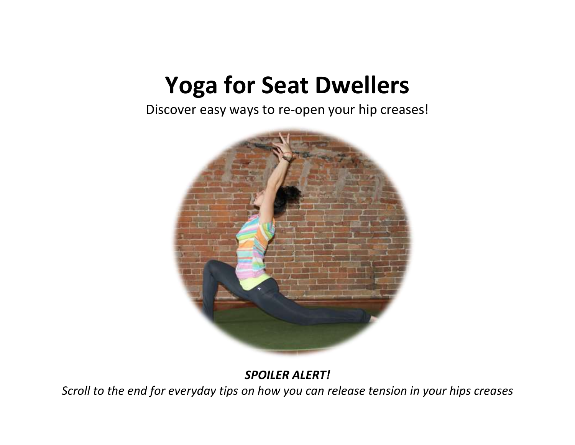# **Yoga for Seat Dwellers**

Discover easy ways to re-open your hip creases!



*SPOILER ALERT!*

*Scroll to the end for everyday tips on how you can release tension in your hips creases*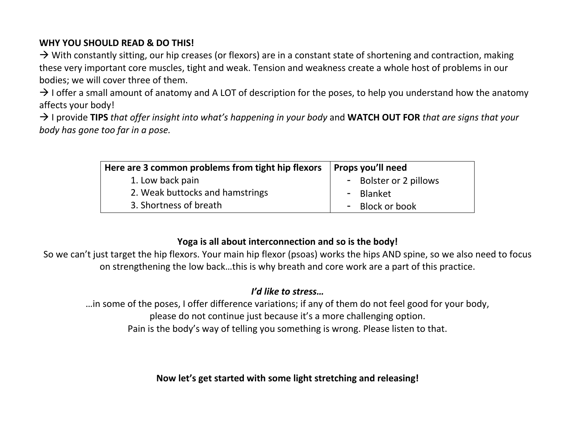## **WHY YOU SHOULD READ & DO THIS!**

 $\rightarrow$  With constantly sitting, our hip creases (or flexors) are in a constant state of shortening and contraction, making these very important core muscles, tight and weak. Tension and weakness create a whole host of problems in our bodies; we will cover three of them.

 $\rightarrow$  I offer a small amount of anatomy and A LOT of description for the poses, to help you understand how the anatomy affects your body!

→ I provide TIPS *that offer insight into what's happening in your body* and **WATCH OUT FOR** *that are signs that your body has gone too far in a pose.*

| Here are 3 common problems from tight hip flexors | Props you'll need      |
|---------------------------------------------------|------------------------|
| 1. Low back pain                                  | - Bolster or 2 pillows |
| 2. Weak buttocks and hamstrings                   | - Blanket              |
| 3. Shortness of breath                            | - Block or book        |

# **Yoga is all about interconnection and so is the body!**

So we can't just target the hip flexors. Your main hip flexor (psoas) works the hips AND spine, so we also need to focus on strengthening the low back…this is why breath and core work are a part of this practice.

# *I'd like to stress…*

…in some of the poses, I offer difference variations; if any of them do not feel good for your body, please do not continue just because it's a more challenging option. Pain is the body's way of telling you something is wrong. Please listen to that.

**Now let's get started with some light stretching and releasing!**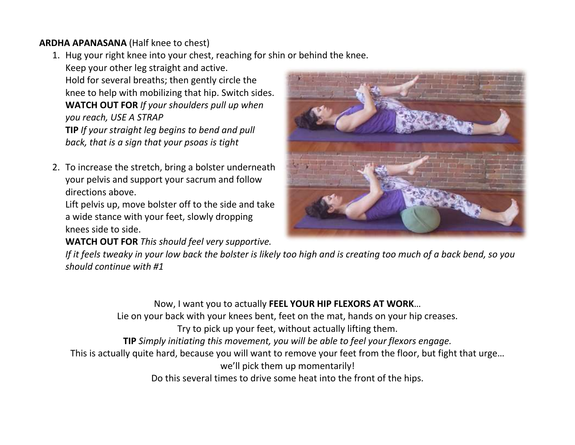## **ARDHA APANASANA** (Half knee to chest)

1. Hug your right knee into your chest, reaching for shin or behind the knee.

Keep your other leg straight and active. Hold for several breaths; then gently circle the knee to help with mobilizing that hip. Switch sides. **WATCH OUT FOR** *If your shoulders pull up when you reach, USE A STRAP* **TIP** *If your straight leg begins to bend and pull back, that is a sign that your psoas is tight*

2. To increase the stretch, bring a bolster underneath your pelvis and support your sacrum and follow directions above.

Lift pelvis up, move bolster off to the side and take a wide stance with your feet, slowly dropping knees side to side.

**WATCH OUT FOR** *This should feel very supportive.* 



*If it feels tweaky in your low back the bolster is likely too high and is creating too much of a back bend, so you should continue with #1*

Now, I want you to actually **FEEL YOUR HIP FLEXORS AT WORK**… Lie on your back with your knees bent, feet on the mat, hands on your hip creases. Try to pick up your feet, without actually lifting them. **TIP** *Simply initiating this movement, you will be able to feel your flexors engage.* This is actually quite hard, because you will want to remove your feet from the floor, but fight that urge… we'll pick them up momentarily! Do this several times to drive some heat into the front of the hips.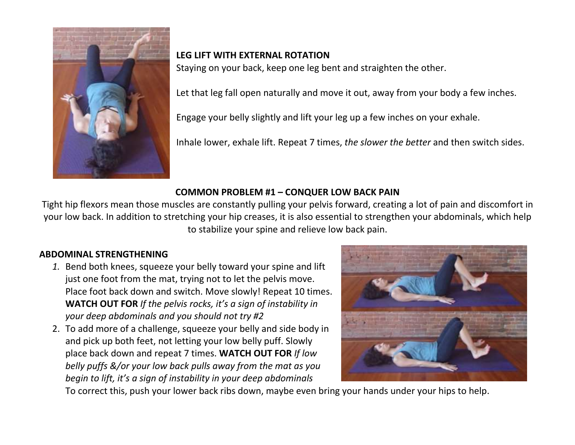

## **LEG LIFT WITH EXTERNAL ROTATION**

Staying on your back, keep one leg bent and straighten the other.

Let that leg fall open naturally and move it out, away from your body a few inches.

Engage your belly slightly and lift your leg up a few inches on your exhale.

Inhale lower, exhale lift. Repeat 7 times, *the slower the better* and then switch sides.

#### **COMMON PROBLEM #1 – CONQUER LOW BACK PAIN**

Tight hip flexors mean those muscles are constantly pulling your pelvis forward, creating a lot of pain and discomfort in your low back. In addition to stretching your hip creases, it is also essential to strengthen your abdominals, which help to stabilize your spine and relieve low back pain.

#### **ABDOMINAL STRENGTHENING**

- *1.* Bend both knees, squeeze your belly toward your spine and lift just one foot from the mat, trying not to let the pelvis move. Place foot back down and switch. Move slowly! Repeat 10 times. **WATCH OUT FOR** *If the pelvis rocks, it's a sign of instability in your deep abdominals and you should not try #2*
- 2. To add more of a challenge, squeeze your belly and side body in and pick up both feet, not letting your low belly puff. Slowly place back down and repeat 7 times. **WATCH OUT FOR** *If low belly puffs &/or your low back pulls away from the mat as you begin to lift, it's a sign of instability in your deep abdominals*



To correct this, push your lower back ribs down, maybe even bring your hands under your hips to help.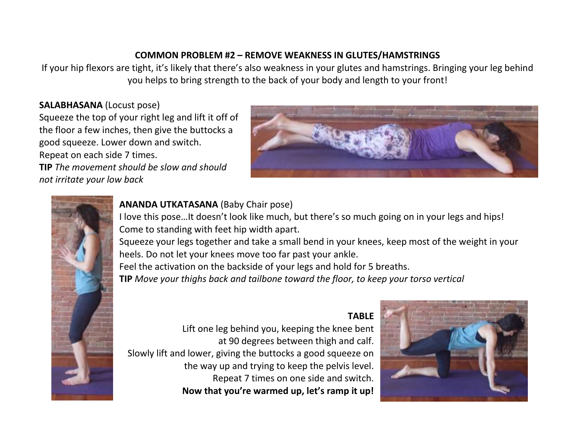#### **COMMON PROBLEM #2 – REMOVE WEAKNESS IN GLUTES/HAMSTRINGS**

If your hip flexors are tight, it's likely that there's also weakness in your glutes and hamstrings. Bringing your leg behind you helps to bring strength to the back of your body and length to your front!

#### **SALABHASANA** (Locust pose)

Squeeze the top of your right leg and lift it off of the floor a few inches, then give the buttocks a good squeeze. Lower down and switch. Repeat on each side 7 times.

**TIP** *The movement should be slow and should not irritate your low back*





## **ANANDA UTKATASANA** (Baby Chair pose)

I love this pose…It doesn't look like much, but there's so much going on in your legs and hips! Come to standing with feet hip width apart.

Squeeze your legs together and take a small bend in your knees, keep most of the weight in your heels. Do not let your knees move too far past your ankle.

Feel the activation on the backside of your legs and hold for 5 breaths.

**TIP** *Move your thighs back and tailbone toward the floor, to keep your torso vertical*

## **TABLE**



Lift one leg behind you, keeping the knee bent at 90 degrees between thigh and calf. Slowly lift and lower, giving the buttocks a good squeeze on the way up and trying to keep the pelvis level. Repeat 7 times on one side and switch. **Now that you're warmed up, let's ramp it up!**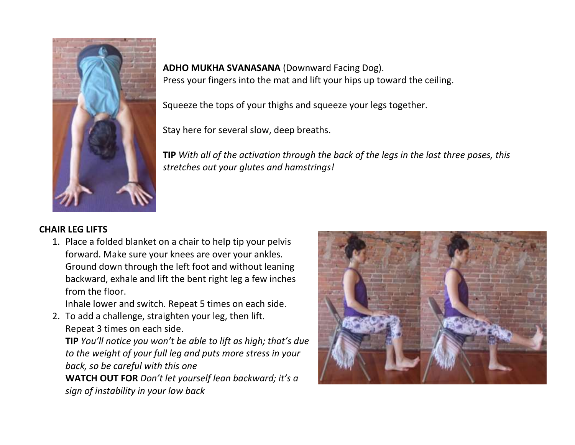

**ADHO MUKHA SVANASANA** (Downward Facing Dog). Press your fingers into the mat and lift your hips up toward the ceiling.

Squeeze the tops of your thighs and squeeze your legs together.

Stay here for several slow, deep breaths.

**TIP** *With all of the activation through the back of the legs in the last three poses, this stretches out your glutes and hamstrings!*

#### **CHAIR LEG LIFTS**

1. Place a folded blanket on a chair to help tip your pelvis forward. Make sure your knees are over your ankles. Ground down through the left foot and without leaning backward, exhale and lift the bent right leg a few inches from the floor.

Inhale lower and switch. Repeat 5 times on each side.

2. To add a challenge, straighten your leg, then lift. Repeat 3 times on each side.

**TIP** *You'll notice you won't be able to lift as high; that's due to the weight of your full leg and puts more stress in your back, so be careful with this one*

**WATCH OUT FOR** *Don't let yourself lean backward; it's a sign of instability in your low back*

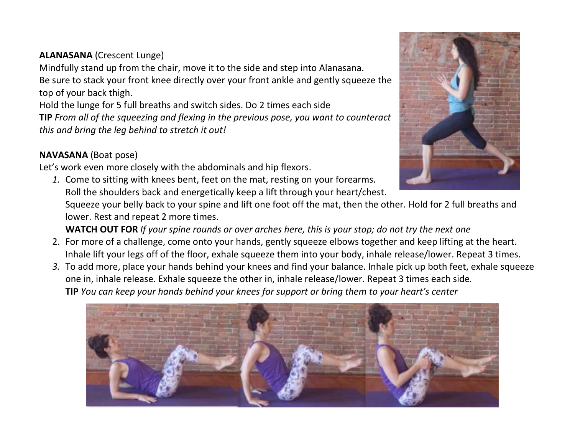# **ALANASANA** (Crescent Lunge)

Mindfully stand up from the chair, move it to the side and step into Alanasana. Be sure to stack your front knee directly over your front ankle and gently squeeze the top of your back thigh.

Hold the lunge for 5 full breaths and switch sides. Do 2 times each side

**TIP** *From all of the squeezing and flexing in the previous pose, you want to counteract this and bring the leg behind to stretch it out!*

# **NAVASANA** (Boat pose)

Let's work even more closely with the abdominals and hip flexors.

*1.* Come to sitting with knees bent, feet on the mat, resting on your forearms. Roll the shoulders back and energetically keep a lift through your heart/chest.

Squeeze your belly back to your spine and lift one foot off the mat, then the other. Hold for 2 full breaths and lower. Rest and repeat 2 more times.

**WATCH OUT FOR** *If your spine rounds or over arches here, this is your stop; do not try the next one*

- 2. For more of a challenge, come onto your hands, gently squeeze elbows together and keep lifting at the heart. Inhale lift your legs off of the floor, exhale squeeze them into your body, inhale release/lower. Repeat 3 times.
- *3.* To add more, place your hands behind your knees and find your balance. Inhale pick up both feet, exhale squeeze one in, inhale release. Exhale squeeze the other in, inhale release/lower. Repeat 3 times each side*.* **TIP** *You can keep your hands behind your knees for support or bring them to your heart's center*



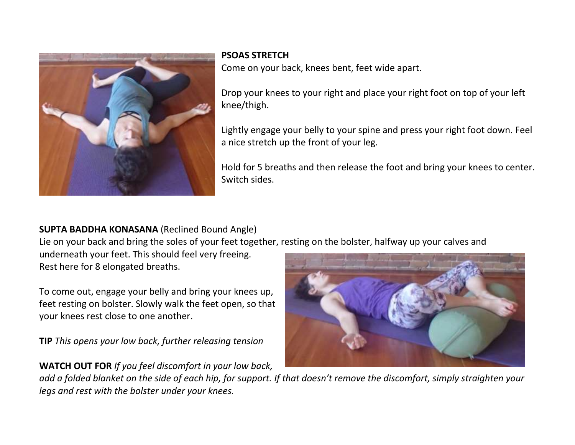

#### **PSOAS STRETCH**

Come on your back, knees bent, feet wide apart.

Drop your knees to your right and place your right foot on top of your left knee/thigh.

Lightly engage your belly to your spine and press your right foot down. Feel a nice stretch up the front of your leg.

Hold for 5 breaths and then release the foot and bring your knees to center. Switch sides.

# **SUPTA BADDHA KONASANA** (Reclined Bound Angle)

Lie on your back and bring the soles of your feet together, resting on the bolster, halfway up your calves and

underneath your feet. This should feel very freeing. Rest here for 8 elongated breaths.

To come out, engage your belly and bring your knees up, feet resting on bolster. Slowly walk the feet open, so that your knees rest close to one another.

**TIP** *This opens your low back, further releasing tension*

# **WATCH OUT FOR** *If you feel discomfort in your low back,*



*add a folded blanket on the side of each hip, for support. If that doesn't remove the discomfort, simply straighten your legs and rest with the bolster under your knees.*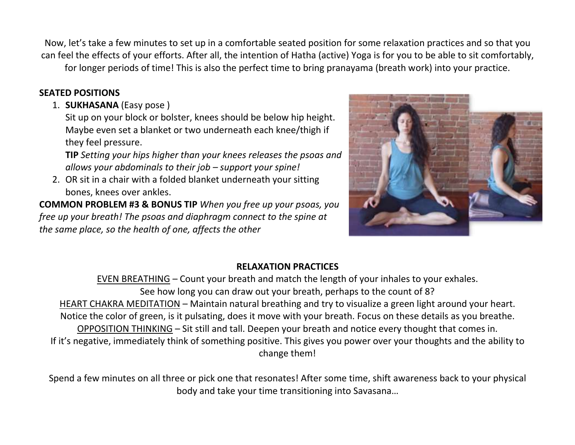Now, let's take a few minutes to set up in a comfortable seated position for some relaxation practices and so that you can feel the effects of your efforts. After all, the intention of Hatha (active) Yoga is for you to be able to sit comfortably, for longer periods of time! This is also the perfect time to bring pranayama (breath work) into your practice.

## **SEATED POSITIONS**

1. **SUKHASANA** (Easy pose )

Sit up on your block or bolster, knees should be below hip height. Maybe even set a blanket or two underneath each knee/thigh if they feel pressure.

**TIP** *Setting your hips higher than your knees releases the psoas and allows your abdominals to their job – support your spine!*

2. OR sit in a chair with a folded blanket underneath your sitting bones, knees over ankles.

**COMMON PROBLEM #3 & BONUS TIP** *When you free up your psoas, you free up your breath! The psoas and diaphragm connect to the spine at the same place, so the health of one, affects the other*



# **RELAXATION PRACTICES**

EVEN BREATHING – Count your breath and match the length of your inhales to your exhales. See how long you can draw out your breath, perhaps to the count of 8? HEART CHAKRA MEDITATION – Maintain natural breathing and try to visualize a green light around your heart. Notice the color of green, is it pulsating, does it move with your breath. Focus on these details as you breathe. OPPOSITION THINKING – Sit still and tall. Deepen your breath and notice every thought that comes in. If it's negative, immediately think of something positive. This gives you power over your thoughts and the ability to change them!

Spend a few minutes on all three or pick one that resonates! After some time, shift awareness back to your physical body and take your time transitioning into Savasana…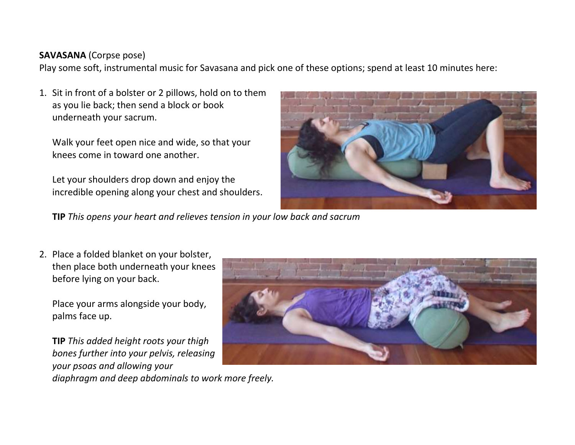## **SAVASANA** (Corpse pose)

Play some soft, instrumental music for Savasana and pick one of these options; spend at least 10 minutes here:

1. Sit in front of a bolster or 2 pillows, hold on to them as you lie back; then send a block or book underneath your sacrum.

Walk your feet open nice and wide, so that your knees come in toward one another.

Let your shoulders drop down and enjoy the incredible opening along your chest and shoulders.



**TIP** *This opens your heart and relieves tension in your low back and sacrum*

2. Place a folded blanket on your bolster, then place both underneath your knees before lying on your back.

Place your arms alongside your body, palms face up.

**TIP** *This added height roots your thigh bones further into your pelvis, releasing your psoas and allowing your diaphragm and deep abdominals to work more freely.*